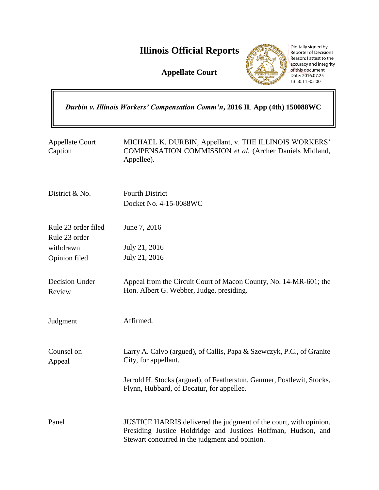# **Illinois Official Reports**

**Appellate Court**



Digitally signed by Reporter of Decisions Reason: I attest to the accuracy and integrity of this document Date: 2016.07.25 13:50:11 -05'00'

| Durbin v. Illinois Workers' Compensation Comm'n, 2016 IL App (4th) 150088WC |                                                                                                                                                                                      |
|-----------------------------------------------------------------------------|--------------------------------------------------------------------------------------------------------------------------------------------------------------------------------------|
| <b>Appellate Court</b><br>Caption                                           | MICHAEL K. DURBIN, Appellant, v. THE ILLINOIS WORKERS'<br>COMPENSATION COMMISSION et al. (Archer Daniels Midland,<br>Appellee).                                                      |
| District & No.                                                              | <b>Fourth District</b><br>Docket No. 4-15-0088WC                                                                                                                                     |
| Rule 23 order filed<br>Rule 23 order                                        | June 7, 2016                                                                                                                                                                         |
| withdrawn                                                                   | July 21, 2016                                                                                                                                                                        |
| Opinion filed                                                               | July 21, 2016                                                                                                                                                                        |
| Decision Under<br>Review                                                    | Appeal from the Circuit Court of Macon County, No. 14-MR-601; the<br>Hon. Albert G. Webber, Judge, presiding.                                                                        |
| Judgment                                                                    | Affirmed.                                                                                                                                                                            |
| Counsel on<br>Appeal                                                        | Larry A. Calvo (argued), of Callis, Papa & Szewczyk, P.C., of Granite<br>City, for appellant.                                                                                        |
|                                                                             | Jerrold H. Stocks (argued), of Featherstun, Gaumer, Postlewit, Stocks,<br>Flynn, Hubbard, of Decatur, for appellee.                                                                  |
| Panel                                                                       | JUSTICE HARRIS delivered the judgment of the court, with opinion.<br>Presiding Justice Holdridge and Justices Hoffman, Hudson, and<br>Stewart concurred in the judgment and opinion. |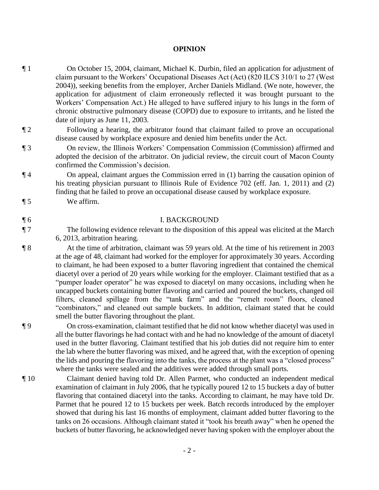### **OPINION**

¶ 1 On October 15, 2004, claimant, Michael K. Durbin, filed an application for adjustment of claim pursuant to the Workers' Occupational Diseases Act (Act) (820 ILCS 310/1 to 27 (West 2004)), seeking benefits from the employer, Archer Daniels Midland. (We note, however, the application for adjustment of claim erroneously reflected it was brought pursuant to the Workers' Compensation Act.) He alleged to have suffered injury to his lungs in the form of chronic obstructive pulmonary disease (COPD) due to exposure to irritants, and he listed the date of injury as June 11, 2003.

¶ 2 Following a hearing, the arbitrator found that claimant failed to prove an occupational disease caused by workplace exposure and denied him benefits under the Act.

¶ 3 On review, the Illinois Workers' Compensation Commission (Commission) affirmed and adopted the decision of the arbitrator. On judicial review, the circuit court of Macon County confirmed the Commission's decision.

¶ 4 On appeal, claimant argues the Commission erred in (1) barring the causation opinion of his treating physician pursuant to Illinois Rule of Evidence 702 (eff. Jan. 1, 2011) and (2) finding that he failed to prove an occupational disease caused by workplace exposure.

¶ 5 We affirm.

## ¶ 6 I. BACKGROUND

¶ 7 The following evidence relevant to the disposition of this appeal was elicited at the March 6, 2013, arbitration hearing.

¶ 8 At the time of arbitration, claimant was 59 years old. At the time of his retirement in 2003 at the age of 48, claimant had worked for the employer for approximately 30 years. According to claimant, he had been exposed to a butter flavoring ingredient that contained the chemical diacetyl over a period of 20 years while working for the employer. Claimant testified that as a "pumper loader operator" he was exposed to diacetyl on many occasions, including when he uncapped buckets containing butter flavoring and carried and poured the buckets, changed oil filters, cleaned spillage from the "tank farm" and the "remelt room" floors, cleaned "combinators," and cleaned out sample buckets. In addition, claimant stated that he could smell the butter flavoring throughout the plant.

¶ 9 On cross-examination, claimant testified that he did not know whether diacetyl was used in all the butter flavorings he had contact with and he had no knowledge of the amount of diacetyl used in the butter flavoring. Claimant testified that his job duties did not require him to enter the lab where the butter flavoring was mixed, and he agreed that, with the exception of opening the lids and pouring the flavoring into the tanks, the process at the plant was a "closed process" where the tanks were sealed and the additives were added through small ports.

¶ 10 Claimant denied having told Dr. Allen Parmet, who conducted an independent medical examination of claimant in July 2006, that he typically poured 12 to 15 buckets a day of butter flavoring that contained diacetyl into the tanks. According to claimant, he may have told Dr. Parmet that he poured 12 to 15 buckets per week. Batch records introduced by the employer showed that during his last 16 months of employment, claimant added butter flavoring to the tanks on 26 occasions. Although claimant stated it "took his breath away" when he opened the buckets of butter flavoring, he acknowledged never having spoken with the employer about the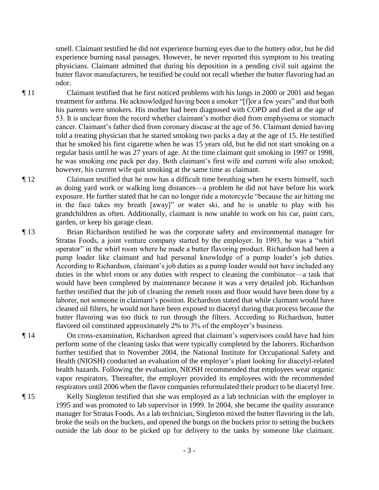smell. Claimant testified he did not experience burning eyes due to the buttery odor, but he did experience burning nasal passages. However, he never reported this symptom to his treating physicians. Claimant admitted that during his deposition in a pending civil suit against the butter flavor manufacturers, he testified he could not recall whether the butter flavoring had an odor.

- ¶ 11 Claimant testified that he first noticed problems with his lungs in 2000 or 2001 and began treatment for asthma. He acknowledged having been a smoker "[f]or a few years" and that both his parents were smokers. His mother had been diagnosed with COPD and died at the age of 53. It is unclear from the record whether claimant's mother died from emphysema or stomach cancer. Claimant's father died from coronary disease at the age of 56. Claimant denied having told a treating physician that he started smoking two packs a day at the age of 15. He testified that he smoked his first cigarette when he was 15 years old, but he did not start smoking on a regular basis until he was 27 years of age. At the time claimant quit smoking in 1997 or 1998, he was smoking one pack per day. Both claimant's first wife and current wife also smoked; however, his current wife quit smoking at the same time as claimant.
- ¶ 12 Claimant testified that he now has a difficult time breathing when he exerts himself, such as doing yard work or walking long distances—a problem he did not have before his work exposure. He further stated that he can no longer ride a motorcycle "because the air hitting me in the face takes my breath [away]" or water ski, and he is unable to play with his grandchildren as often. Additionally, claimant is now unable to work on his car, paint cars, garden, or keep his garage clean.
- ¶ 13 Brian Richardson testified he was the corporate safety and environmental manager for Stratas Foods, a joint venture company started by the employer. In 1993, he was a "whirl operator" in the whirl room where he made a butter flavoring product. Richardson had been a pump loader like claimant and had personal knowledge of a pump loader's job duties. According to Richardson, claimant's job duties as a pump loader would not have included any duties in the whirl room or any duties with respect to cleaning the combinator—a task that would have been completed by maintenance because it was a very detailed job. Richardson further testified that the job of cleaning the remelt room and floor would have been done by a laborer, not someone in claimant's position. Richardson stated that while claimant would have cleaned oil filters, he would not have been exposed to diacetyl during that process because the butter flavoring was too thick to run through the filters. According to Richardson, butter flavored oil constituted approximately 2% to 3% of the employer's business.
- ¶ 14 On cross-examination, Richardson agreed that claimant's supervisors could have had him perform some of the cleaning tasks that were typically completed by the laborers. Richardson further testified that in November 2004, the National Institute for Occupational Safety and Health (NIOSH) conducted an evaluation of the employer's plant looking for diacetyl-related health hazards. Following the evaluation, NIOSH recommended that employees wear organic vapor respirators. Thereafter, the employer provided its employees with the recommended respirators until 2006 when the flavor companies reformulated their product to be diacetyl free.

¶ 15 Kelly Singleton testified that she was employed as a lab technician with the employer in 1995 and was promoted to lab supervisor in 1999. In 2004, she became the quality assurance manager for Stratas Foods. As a lab technician, Singleton mixed the butter flavoring in the lab, broke the seals on the buckets, and opened the bungs on the buckets prior to setting the buckets outside the lab door to be picked up for delivery to the tanks by someone like claimant.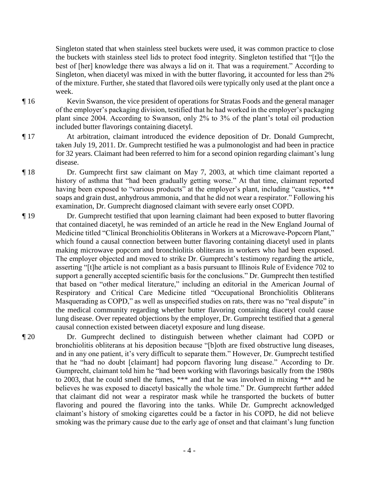Singleton stated that when stainless steel buckets were used, it was common practice to close the buckets with stainless steel lids to protect food integrity. Singleton testified that "[t]o the best of [her] knowledge there was always a lid on it. That was a requirement." According to Singleton, when diacetyl was mixed in with the butter flavoring, it accounted for less than 2% of the mixture. Further, she stated that flavored oils were typically only used at the plant once a week.

- ¶ 16 Kevin Swanson, the vice president of operations for Stratas Foods and the general manager of the employer's packaging division, testified that he had worked in the employer's packaging plant since 2004. According to Swanson, only 2% to 3% of the plant's total oil production included butter flavorings containing diacetyl.
- ¶ 17 At arbitration, claimant introduced the evidence deposition of Dr. Donald Gumprecht, taken July 19, 2011. Dr. Gumprecht testified he was a pulmonologist and had been in practice for 32 years. Claimant had been referred to him for a second opinion regarding claimant's lung disease.
- ¶ 18 Dr. Gumprecht first saw claimant on May 7, 2003, at which time claimant reported a history of asthma that "had been gradually getting worse." At that time, claimant reported having been exposed to "various products" at the employer's plant, including "caustics, \*\*\* soaps and grain dust, anhydrous ammonia, and that he did not wear a respirator." Following his examination, Dr. Gumprecht diagnosed claimant with severe early onset COPD.
- ¶ 19 Dr. Gumprecht testified that upon learning claimant had been exposed to butter flavoring that contained diacetyl, he was reminded of an article he read in the New England Journal of Medicine titled "Clinical Bronchiolitis Obliterans in Workers at a Microwave-Popcorn Plant," which found a causal connection between butter flavoring containing diacetyl used in plants making microwave popcorn and bronchiolitis obliterans in workers who had been exposed. The employer objected and moved to strike Dr. Gumprecht's testimony regarding the article, asserting "[t]he article is not compliant as a basis pursuant to Illinois Rule of Evidence 702 to support a generally accepted scientific basis for the conclusions." Dr. Gumprecht then testified that based on "other medical literature," including an editorial in the American Journal of Respiratory and Critical Care Medicine titled "Occupational Bronchiolitis Obliterans Masquerading as COPD," as well as unspecified studies on rats, there was no "real dispute" in the medical community regarding whether butter flavoring containing diacetyl could cause lung disease. Over repeated objections by the employer, Dr. Gumprecht testified that a general causal connection existed between diacetyl exposure and lung disease.
- ¶ 20 Dr. Gumprecht declined to distinguish between whether claimant had COPD or bronchiolitis obliterans at his deposition because "[b]oth are fixed obstructive lung diseases, and in any one patient, it's very difficult to separate them." However, Dr. Gumprecht testified that he "had no doubt [claimant] had popcorn flavoring lung disease." According to Dr. Gumprecht, claimant told him he "had been working with flavorings basically from the 1980s to 2003, that he could smell the fumes, \*\*\* and that he was involved in mixing \*\*\* and he believes he was exposed to diacetyl basically the whole time." Dr. Gumprecht further added that claimant did not wear a respirator mask while he transported the buckets of butter flavoring and poured the flavoring into the tanks. While Dr. Gumprecht acknowledged claimant's history of smoking cigarettes could be a factor in his COPD, he did not believe smoking was the primary cause due to the early age of onset and that claimant's lung function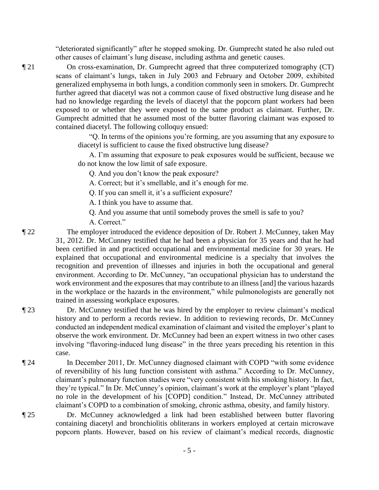"deteriorated significantly" after he stopped smoking. Dr. Gumprecht stated he also ruled out other causes of claimant's lung disease, including asthma and genetic causes.

¶ 21 On cross-examination, Dr. Gumprecht agreed that three computerized tomography (CT) scans of claimant's lungs, taken in July 2003 and February and October 2009, exhibited generalized emphysema in both lungs, a condition commonly seen in smokers. Dr. Gumprecht further agreed that diacetyl was not a common cause of fixed obstructive lung disease and he had no knowledge regarding the levels of diacetyl that the popcorn plant workers had been exposed to or whether they were exposed to the same product as claimant. Further, Dr. Gumprecht admitted that he assumed most of the butter flavoring claimant was exposed to contained diacetyl. The following colloquy ensued:

> "Q. In terms of the opinions you're forming, are you assuming that any exposure to diacetyl is sufficient to cause the fixed obstructive lung disease?

> A. I'm assuming that exposure to peak exposures would be sufficient, because we do not know the low limit of safe exposure.

Q. And you don't know the peak exposure?

A. Correct; but it's smellable, and it's enough for me.

Q. If you can smell it, it's a sufficient exposure?

A. I think you have to assume that.

Q. And you assume that until somebody proves the smell is safe to you?

A. Correct."

¶ 22 The employer introduced the evidence deposition of Dr. Robert J. McCunney, taken May 31, 2012. Dr. McCunney testified that he had been a physician for 35 years and that he had been certified in and practiced occupational and environmental medicine for 30 years. He explained that occupational and environmental medicine is a specialty that involves the recognition and prevention of illnesses and injuries in both the occupational and general environment. According to Dr. McCunney, "an occupational physician has to understand the work environment and the exposures that may contribute to an illness [and] the various hazards in the workplace or the hazards in the environment," while pulmonologists are generally not trained in assessing workplace exposures.

- ¶ 23 Dr. McCunney testified that he was hired by the employer to review claimant's medical history and to perform a records review. In addition to reviewing records, Dr. McCunney conducted an independent medical examination of claimant and visited the employer's plant to observe the work environment. Dr. McCunney had been an expert witness in two other cases involving "flavoring-induced lung disease" in the three years preceding his retention in this case.
- ¶ 24 In December 2011, Dr. McCunney diagnosed claimant with COPD "with some evidence of reversibility of his lung function consistent with asthma." According to Dr. McCunney, claimant's pulmonary function studies were "very consistent with his smoking history. In fact, they're typical." In Dr. McCunney's opinion, claimant's work at the employer's plant "played no role in the development of his [COPD] condition." Instead, Dr. McCunney attributed claimant's COPD to a combination of smoking, chronic asthma, obesity, and family history.

¶ 25 Dr. McCunney acknowledged a link had been established between butter flavoring containing diacetyl and bronchiolitis obliterans in workers employed at certain microwave popcorn plants. However, based on his review of claimant's medical records, diagnostic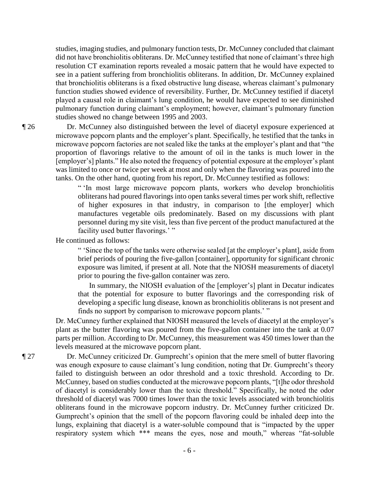studies, imaging studies, and pulmonary function tests, Dr. McCunney concluded that claimant did not have bronchiolitis obliterans. Dr. McCunney testified that none of claimant's three high resolution CT examination reports revealed a mosaic pattern that he would have expected to see in a patient suffering from bronchiolitis obliterans. In addition, Dr. McCunney explained that bronchiolitis obliterans is a fixed obstructive lung disease, whereas claimant's pulmonary function studies showed evidence of reversibility. Further, Dr. McCunney testified if diacetyl played a causal role in claimant's lung condition, he would have expected to see diminished pulmonary function during claimant's employment; however, claimant's pulmonary function studies showed no change between 1995 and 2003.

¶ 26 Dr. McCunney also distinguished between the level of diacetyl exposure experienced at microwave popcorn plants and the employer's plant. Specifically, he testified that the tanks in microwave popcorn factories are not sealed like the tanks at the employer's plant and that "the proportion of flavorings relative to the amount of oil in the tanks is much lower in the [employer's] plants." He also noted the frequency of potential exposure at the employer's plant was limited to once or twice per week at most and only when the flavoring was poured into the tanks. On the other hand, quoting from his report, Dr. McCunney testified as follows:

> " 'In most large microwave popcorn plants, workers who develop bronchiolitis obliterans had poured flavorings into open tanks several times per work shift, reflective of higher exposures in that industry, in comparison to [the employer] which manufactures vegetable oils predominately. Based on my discussions with plant personnel during my site visit, less than five percent of the product manufactured at the facility used butter flavorings.'"

He continued as follows:

" 'Since the top of the tanks were otherwise sealed [at the employer's plant], aside from brief periods of pouring the five-gallon [container], opportunity for significant chronic exposure was limited, if present at all. Note that the NIOSH measurements of diacetyl prior to pouring the five-gallon container was zero.

In summary, the NIOSH evaluation of the [employer's] plant in Decatur indicates that the potential for exposure to butter flavorings and the corresponding risk of developing a specific lung disease, known as bronchiolitis obliterans is not present and finds no support by comparison to microwave popcorn plants.' "

Dr. McCunney further explained that NIOSH measured the levels of diacetyl at the employer's plant as the butter flavoring was poured from the five-gallon container into the tank at 0.07 parts per million. According to Dr. McCunney, this measurement was 450 times lower than the levels measured at the microwave popcorn plant.

¶ 27 Dr. McCunney criticized Dr. Gumprecht's opinion that the mere smell of butter flavoring was enough exposure to cause claimant's lung condition, noting that Dr. Gumprecht's theory failed to distinguish between an odor threshold and a toxic threshold. According to Dr. McCunney, based on studies conducted at the microwave popcorn plants, "[t]he odor threshold of diacetyl is considerably lower than the toxic threshold." Specifically, he noted the odor threshold of diacetyl was 7000 times lower than the toxic levels associated with bronchiolitis obliterans found in the microwave popcorn industry. Dr. McCunney further criticized Dr. Gumprecht's opinion that the smell of the popcorn flavoring could be inhaled deep into the lungs, explaining that diacetyl is a water-soluble compound that is "impacted by the upper respiratory system which \*\*\* means the eyes, nose and mouth," whereas "fat-soluble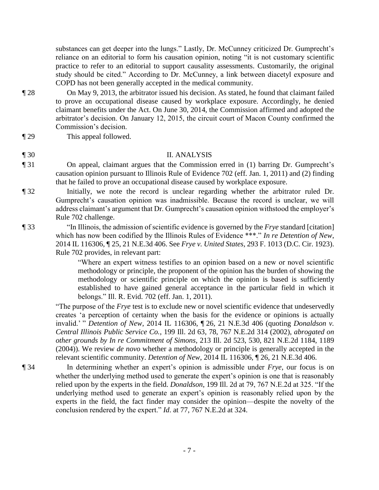substances can get deeper into the lungs." Lastly, Dr. McCunney criticized Dr. Gumprecht's reliance on an editorial to form his causation opinion, noting "it is not customary scientific practice to refer to an editorial to support causality assessments. Customarily, the original study should be cited." According to Dr. McCunney, a link between diacetyl exposure and COPD has not been generally accepted in the medical community.

- ¶ 28 On May 9, 2013, the arbitrator issued his decision. As stated, he found that claimant failed to prove an occupational disease caused by workplace exposure. Accordingly, he denied claimant benefits under the Act. On June 30, 2014, the Commission affirmed and adopted the arbitrator's decision. On January 12, 2015, the circuit court of Macon County confirmed the Commission's decision.
- ¶ 29 This appeal followed.

## ¶ 30 II. ANALYSIS

- ¶ 31 On appeal, claimant argues that the Commission erred in (1) barring Dr. Gumprecht's causation opinion pursuant to Illinois Rule of Evidence 702 (eff. Jan. 1, 2011) and (2) finding that he failed to prove an occupational disease caused by workplace exposure.
- ¶ 32 Initially, we note the record is unclear regarding whether the arbitrator ruled Dr. Gumprecht's causation opinion was inadmissible. Because the record is unclear, we will address claimant's argument that Dr. Gumprecht's causation opinion withstood the employer's Rule 702 challenge.
- ¶ 33 "In Illinois, the admission of scientific evidence is governed by the *Frye* standard [citation] which has now been codified by the Illinois Rules of Evidence \*\*\*." *In re Detention of New*, 2014 IL 116306, ¶ 25, 21 N.E.3d 406. See *Frye v. United States*, 293 F. 1013 (D.C. Cir. 1923). Rule 702 provides, in relevant part:

"Where an expert witness testifies to an opinion based on a new or novel scientific methodology or principle, the proponent of the opinion has the burden of showing the methodology or scientific principle on which the opinion is based is sufficiently established to have gained general acceptance in the particular field in which it belongs." Ill. R. Evid. 702 (eff. Jan. 1, 2011).

"The purpose of the *Frye* test is to exclude new or novel scientific evidence that undeservedly creates 'a perception of certainty when the basis for the evidence or opinions is actually invalid.' " *Detention of New*, 2014 IL 116306, ¶ 26, 21 N.E.3d 406 (quoting *Donaldson v. Central Illinois Public Service Co.*, 199 Ill. 2d 63, 78, 767 N.E.2d 314 (2002), *abrogated on other grounds by In re Commitment of Simons*, 213 Ill. 2d 523, 530, 821 N.E.2d 1184, 1189 (2004)). We review *de novo* whether a methodology or principle is generally accepted in the relevant scientific community. *Detention of New*, 2014 IL 116306, ¶ 26, 21 N.E.3d 406.

¶ 34 In determining whether an expert's opinion is admissible under *Frye*, our focus is on whether the underlying method used to generate the expert's opinion is one that is reasonably relied upon by the experts in the field. *Donaldson*, 199 Ill. 2d at 79, 767 N.E.2d at 325. "If the underlying method used to generate an expert's opinion is reasonably relied upon by the experts in the field, the fact finder may consider the opinion—despite the novelty of the conclusion rendered by the expert." *Id*. at 77, 767 N.E.2d at 324.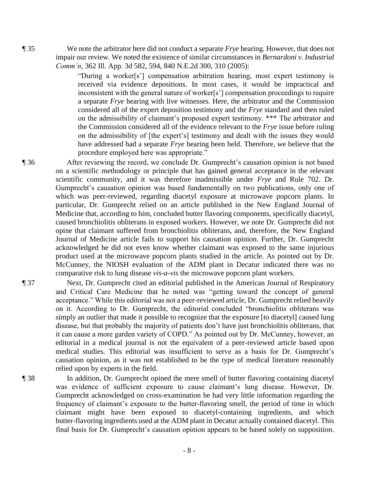¶ 35 We note the arbitrator here did not conduct a separate *Frye* hearing. However, that does not impair our review. We noted the existence of similar circumstances in *Bernardoni v. Industrial Comm'n*, 362 Ill. App. 3d 582, 594, 840 N.E.2d 300, 310 (2005):

> "During a worker[s'] compensation arbitration hearing, most expert testimony is received via evidence depositions. In most cases, it would be impractical and inconsistent with the general nature of worker[s'] compensation proceedings to require a separate *Frye* hearing with live witnesses. Here, the arbitrator and the Commission considered all of the expert deposition testimony and the *Frye* standard and then ruled on the admissibility of claimant's proposed expert testimony. \*\*\* The arbitrator and the Commission considered all of the evidence relevant to the *Frye* issue before ruling on the admissibility of [the expert's] testimony and dealt with the issues they would have addressed had a separate *Frye* hearing been held. Therefore, we believe that the procedure employed here was appropriate."

¶ 36 After reviewing the record, we conclude Dr. Gumprecht's causation opinion is not based on a scientific methodology or principle that has gained general acceptance in the relevant scientific community, and it was therefore inadmissible under *Frye* and Rule 702. Dr. Gumprecht's causation opinion was based fundamentally on two publications, only one of which was peer-reviewed, regarding diacetyl exposure at microwave popcorn plants. In particular, Dr. Gumprecht relied on an article published in the New England Journal of Medicine that, according to him, concluded butter flavoring components, specifically diacetyl, caused bronchiolitis obliterans in exposed workers. However, we note Dr. Gumprecht did not opine that claimant suffered from bronchiolitis obliterans, and, therefore, the New England Journal of Medicine article fails to support his causation opinion. Further, Dr. Gumprecht acknowledged he did not even know whether claimant was exposed to the same injurious product used at the microwave popcorn plants studied in the article. As pointed out by Dr. McCunney, the NIOSH evaluation of the ADM plant in Decatur indicated there was no comparative risk to lung disease *vis-a-vis* the microwave popcorn plant workers.

- ¶ 37 Next, Dr. Gumprecht cited an editorial published in the American Journal of Respiratory and Critical Care Medicine that he noted was "getting toward the concept of general acceptance." While this editorial was not a peer-reviewed article, Dr. Gumprecht relied heavily on it. According to Dr. Gumprecht, the editorial concluded "bronchiolitis obliterans was simply an outlier that made it possible to recognize that the exposure [to diacetyl] caused lung disease, but that probably the majority of patients don't have just bronchiolitis obliterans, that it can cause a more garden variety of COPD." As pointed out by Dr. McCunney, however, an editorial in a medical journal is not the equivalent of a peer-reviewed article based upon medical studies. This editorial was insufficient to serve as a basis for Dr. Gumprecht's causation opinion, as it was not established to be the type of medical literature reasonably relied upon by experts in the field.
- ¶ 38 In addition, Dr. Gumprecht opined the mere smell of butter flavoring containing diacetyl was evidence of sufficient exposure to cause claimant's lung disease. However, Dr. Gumprecht acknowledged on cross-examination he had very little information regarding the frequency of claimant's exposure to the butter-flavoring smell, the period of time in which claimant might have been exposed to diacetyl-containing ingredients, and which butter-flavoring ingredients used at the ADM plant in Decatur actually contained diacetyl. This final basis for Dr. Gumprecht's causation opinion appears to be based solely on supposition.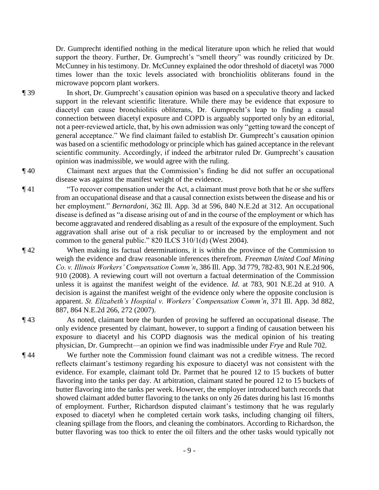Dr. Gumprecht identified nothing in the medical literature upon which he relied that would support the theory. Further, Dr. Gumprecht's "smell theory" was roundly criticized by Dr. McCunney in his testimony. Dr. McCunney explained the odor threshold of diacetyl was 7000 times lower than the toxic levels associated with bronchiolitis obliterans found in the microwave popcorn plant workers.

¶ 39 In short, Dr. Gumprecht's causation opinion was based on a speculative theory and lacked support in the relevant scientific literature. While there may be evidence that exposure to diacetyl can cause bronchiolitis obliterans, Dr. Gumprecht's leap to finding a causal connection between diacetyl exposure and COPD is arguably supported only by an editorial, not a peer-reviewed article, that, by his own admission was only "getting toward the concept of general acceptance." We find claimant failed to establish Dr. Gumprecht's causation opinion was based on a scientific methodology or principle which has gained acceptance in the relevant scientific community. Accordingly, if indeed the arbitrator ruled Dr. Gumprecht's causation opinion was inadmissible, we would agree with the ruling.

¶ 40 Claimant next argues that the Commission's finding he did not suffer an occupational disease was against the manifest weight of the evidence.

¶ 41 "To recover compensation under the Act, a claimant must prove both that he or she suffers from an occupational disease and that a causal connection exists between the disease and his or her employment." *Bernardoni*, 362 Ill. App. 3d at 596, 840 N.E.2d at 312. An occupational disease is defined as "a disease arising out of and in the course of the employment or which has become aggravated and rendered disabling as a result of the exposure of the employment. Such aggravation shall arise out of a risk peculiar to or increased by the employment and not common to the general public." 820 ILCS 310/1(d) (West 2004).

¶ 42 When making its factual determinations, it is within the province of the Commission to weigh the evidence and draw reasonable inferences therefrom. *Freeman United Coal Mining Co. v. Illinois Workers' Compensation Comm'n*, 386 Ill. App. 3d 779, 782-83, 901 N.E.2d 906, 910 (2008). A reviewing court will not overturn a factual determination of the Commission unless it is against the manifest weight of the evidence. *Id*. at 783, 901 N.E.2d at 910. A decision is against the manifest weight of the evidence only where the opposite conclusion is apparent. *St. Elizabeth's Hospital v. Workers' Compensation Comm'n*, 371 Ill. App. 3d 882, 887, 864 N.E.2d 266, 272 (2007).

¶ 43 As noted, claimant bore the burden of proving he suffered an occupational disease. The only evidence presented by claimant, however, to support a finding of causation between his exposure to diacetyl and his COPD diagnosis was the medical opinion of his treating physician, Dr. Gumprecht—an opinion we find was inadmissible under *Frye* and Rule 702.

¶ 44 We further note the Commission found claimant was not a credible witness. The record reflects claimant's testimony regarding his exposure to diacetyl was not consistent with the evidence. For example, claimant told Dr. Parmet that he poured 12 to 15 buckets of butter flavoring into the tanks per day. At arbitration, claimant stated he poured 12 to 15 buckets of butter flavoring into the tanks per week. However, the employer introduced batch records that showed claimant added butter flavoring to the tanks on only 26 dates during his last 16 months of employment. Further, Richardson disputed claimant's testimony that he was regularly exposed to diacetyl when he completed certain work tasks, including changing oil filters, cleaning spillage from the floors, and cleaning the combinators. According to Richardson, the butter flavoring was too thick to enter the oil filters and the other tasks would typically not